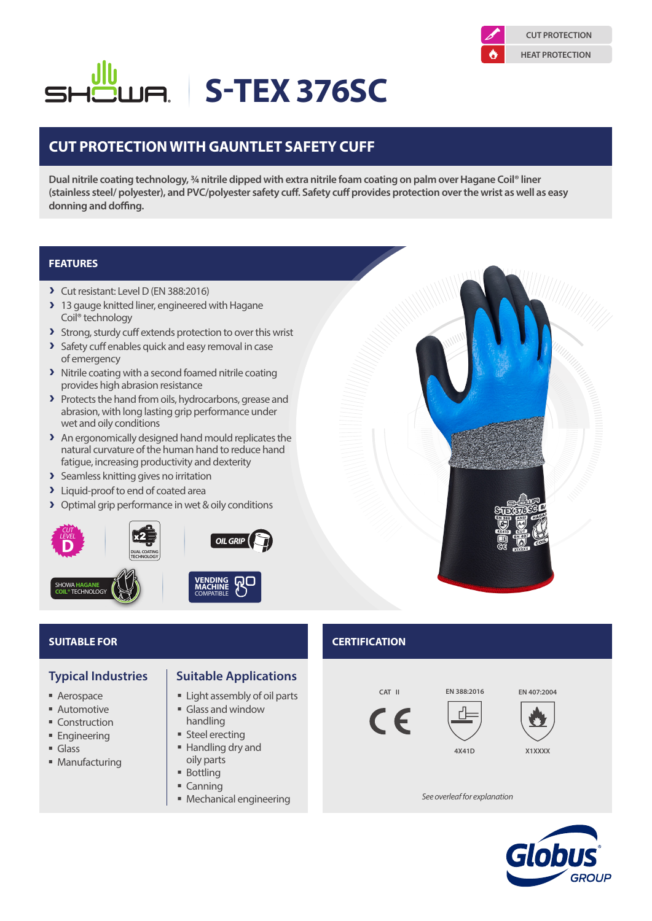

# **S-TEX 376SC**

## **CUT PROTECTION WITH GAUNTLET SAFETY CUFF**

**Dual nitrile coating technology, ¾ nitrile dipped with extra nitrile foam coating on palm over Hagane Coil® liner (stainless steel/ polyester), and PVC/polyester safety cuff. Safety cuff provides protection over the wrist as well as easy donning and doffing.**

### **FEATURES**

- A Cut resistant: Level D (EN 388:2016)
- A 13 gauge knitted liner, engineered with Hagane Coil® technology
- > Strong, sturdy cuff extends protection to over this wrist
- > Safety cuff enables quick and easy removal in case of emergency
- > Nitrile coating with a second foamed nitrile coating provides high abrasion resistance
- > Protects the hand from oils, hydrocarbons, grease and abrasion, with long lasting grip performance under wet and oily conditions
- > An ergonomically designed hand mould replicates the natural curvature of the human hand to reduce hand fatigue, increasing productivity and dexterity
- > Seamless knitting gives no irritation
- > Liquid-proof to end of coated area
- > Optimal grip performance in wet & oily conditions





- Aerospace
- **Automotive**
- Construction
- **Engineering**
- Glass
- **Manufacturing**
- **Typical Industries | Suitable Applications** 
	- Light assembly of oil parts
	- Glass and window handling
	- **Steel erecting**
	- Handling dry and oily parts
	- **Bottling**
	- $Cannina$
	- Mechanical engineering

**SUITABLE FOR CERTIFICATION**









**EN 407:2004**

*See overleaf for explanation*

**4X41D**